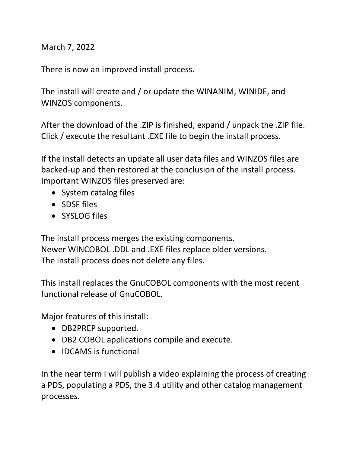March 7, 2022

There is now an improved install process.

The install will create and / or update the WINANIM, WINIDE, and WINZOS components.

After the download of the .ZIP is finished, expand / unpack the .ZIP file. Click / execute the resultant .EXE file to begin the install process.

If the install detects an update all user data files and WINZOS files are backed-up and then restored at the conclusion of the install process. Important WINZOS files preserved are:

- System catalog files
- SDSF files
- SYSLOG files

The install process merges the existing components. Newer WINCOBOL .DDL and .EXE files replace older versions. The install process does not delete any files.

This install replaces the GnuCOBOL components with the most recent functional release of GnuCOBOL.

Major features of this install:

- DB2PREP supported.
- DB2 COBOL applications compile and execute.
- IDCAMS is functional

In the near term I will publish a video explaining the process of creating a PDS, populating a PDS, the 3.4 utility and other catalog management processes.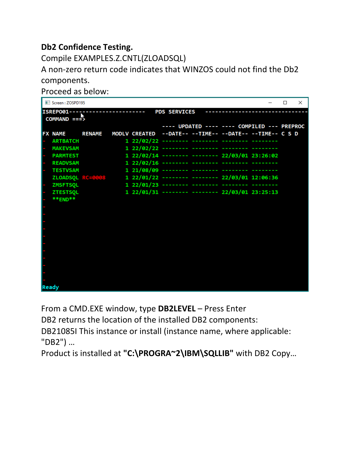## **Db2 Confidence Testing.**

Compile EXAMPLES.Z.CNTL(ZLOADSQL)

A non-zero return code indicates that WINZOS could not find the Db2 components.

Proceed as below:

|       | Screen: ZOSPD195                                                          |               |  |                      |                                                                 |  |                    |                                                         | П | $\times$ |  |  |  |  |  |
|-------|---------------------------------------------------------------------------|---------------|--|----------------------|-----------------------------------------------------------------|--|--------------------|---------------------------------------------------------|---|----------|--|--|--|--|--|
|       | <b>PDS SERVICES</b><br>ISREP001------------------------<br>$COMMAND == 5$ |               |  |                      |                                                                 |  |                    |                                                         |   |          |  |  |  |  |  |
|       |                                                                           |               |  |                      |                                                                 |  |                    | ---- UPDATED ---- ---- COMPILED --- PREPROC             |   |          |  |  |  |  |  |
|       | <b>FX NAME</b>                                                            | <b>RENAME</b> |  |                      |                                                                 |  |                    | MODLV CREATED --DATE-- --TIME-- --DATE-- --TIME-- C S D |   |          |  |  |  |  |  |
|       | <b>ARTBATCH</b>                                                           |               |  |                      |                                                                 |  |                    |                                                         |   |          |  |  |  |  |  |
|       | <b>MAKEVSAM</b>                                                           |               |  |                      |                                                                 |  |                    |                                                         |   |          |  |  |  |  |  |
|       | <b>PARMTEST</b>                                                           |               |  |                      | 1 22/02/14 -------- -------- 22/03/01 23:26:02                  |  |                    |                                                         |   |          |  |  |  |  |  |
|       | <b>READVSAM</b>                                                           |               |  |                      | 1 22/02/16 -------- -------- -------- ----                      |  |                    |                                                         |   |          |  |  |  |  |  |
|       | <b>TESTVSAM</b>                                                           |               |  |                      | 1 21/08/09 -------- -------- -------- --------                  |  |                    |                                                         |   |          |  |  |  |  |  |
|       |                                                                           |               |  |                      | ZLOADSQL RC=0008 1 22/01/22 -------- -------- 22/03/01 12:06:36 |  |                    |                                                         |   |          |  |  |  |  |  |
|       | <b>ZMSFTSQL</b>                                                           |               |  | $122/01/23$ -------- |                                                                 |  | ------------------ |                                                         |   |          |  |  |  |  |  |
|       | <b>ZTESTSQL</b>                                                           |               |  |                      | 1 22/01/31 -------- -------- 22/03/01 23:25:13                  |  |                    |                                                         |   |          |  |  |  |  |  |
|       | **END**                                                                   |               |  |                      |                                                                 |  |                    |                                                         |   |          |  |  |  |  |  |
|       |                                                                           |               |  |                      |                                                                 |  |                    |                                                         |   |          |  |  |  |  |  |
|       |                                                                           |               |  |                      |                                                                 |  |                    |                                                         |   |          |  |  |  |  |  |
|       |                                                                           |               |  |                      |                                                                 |  |                    |                                                         |   |          |  |  |  |  |  |
|       |                                                                           |               |  |                      |                                                                 |  |                    |                                                         |   |          |  |  |  |  |  |
|       |                                                                           |               |  |                      |                                                                 |  |                    |                                                         |   |          |  |  |  |  |  |
|       |                                                                           |               |  |                      |                                                                 |  |                    |                                                         |   |          |  |  |  |  |  |
|       |                                                                           |               |  |                      |                                                                 |  |                    |                                                         |   |          |  |  |  |  |  |
|       |                                                                           |               |  |                      |                                                                 |  |                    |                                                         |   |          |  |  |  |  |  |
|       |                                                                           |               |  |                      |                                                                 |  |                    |                                                         |   |          |  |  |  |  |  |
|       |                                                                           |               |  |                      |                                                                 |  |                    |                                                         |   |          |  |  |  |  |  |
|       |                                                                           |               |  |                      |                                                                 |  |                    |                                                         |   |          |  |  |  |  |  |
| Ready |                                                                           |               |  |                      |                                                                 |  |                    |                                                         |   |          |  |  |  |  |  |

From a CMD.EXE window, type **DB2LEVEL** – Press Enter

DB2 returns the location of the installed DB2 components:

DB21085I This instance or install (instance name, where applicable: "DB2") …

Product is installed at **"C:\PROGRA~2\IBM\SQLLIB"** with DB2 Copy…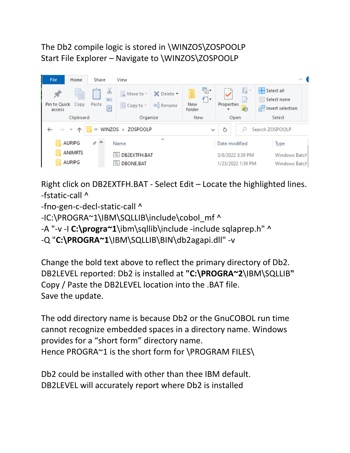## The Db2 compile logic is stored in \WINZOS\ZOSPOOLP Start File Explorer – Navigate to \WINZOS\ZOSPOOLP



Right click on DB2EXTFH.BAT - Select Edit – Locate the highlighted lines. -fstatic-call ^

-fno-gen-c-decl-static-call ^

-IC:\PROGRA~1\IBM\SQLLIB\include\cobol\_mf^

-A "-v -I **C:\progra~1**\ibm\sqllib\include -include sqlaprep.h" ^

```
-Q "C:\PROGRA~1\IBM\SQLLIB\BIN\db2agapi.dll" -v
```
Change the bold text above to reflect the primary directory of Db2. DB2LEVEL reported: Db2 is installed at **"C:\PROGRA~2**\IBM\SQLLIB**"** Copy / Paste the DB2LEVEL location into the .BAT file. Save the update.

The odd directory name is because Db2 or the GnuCOBOL run time cannot recognize embedded spaces in a directory name. Windows provides for a "short form" directory name. Hence PROGRA~1 is the short form for \PROGRAM FILES\

Db2 could be installed with other than thee IBM default. DB2LEVEL will accurately report where Db2 is installed